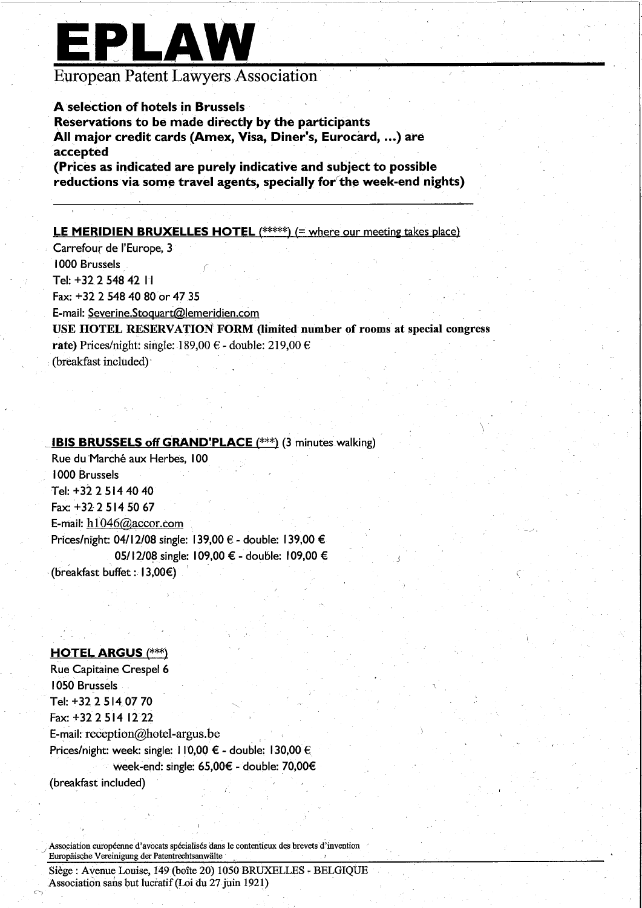# EPLAW

### **European Patent Lawyers Association**

#### A selection of hotels in Brussels

Reservations to be made directly by the participants All major credit cards (Amex, Visa, Diner's, Eurocard, ...) are accepted

(Prices as indicated are purely indicative and subject to possible reductions via some travel agents, specially for the week-end nights)

#### **LE MERIDIEN BRUXELLES HOTEL** (\*\*\*\*\*) (= where our meeting takes place)

Carrefour de l'Europe, 3 1000 Brussels Tel: +32 2 548 42 11 Fax: +32 2 548 40 80 or 47 35 E-mail: Severine.Stoquart@lemeridien.com

USE HOTEL RESERVATION FORM (limited number of rooms at special congress rate) Prices/night: single: 189,00 € - double: 219,00 € (breakfast included)

#### **IBIS BRUSSELS off GRAND'PLACE** (\*\*\*) (3 minutes walking)

Rue du Marché aux Herbes, 100 1000 Brussels Tel: +32 2 514 40 40 Fax: +32 2 514 50 67 E-mail:  $h1046@$  accor.com Prices/night: 04/12/08 single: 139,00 € - double: 139,00 € 05/12/08 single: 109,00 € - double: 109,00 € (breakfast buffet:  $|3,00 \in \rangle$ 

#### **HOTEL ARGUS (\*\*\*)**

**Rue Capitaine Crespel 6 1050 Brussels** Tel: +32 2 514 07 70 Fax: +32 2 514 12 22 E-mail: reception@hotel-argus.be Prices/night: week: single: 110,00 € - double: 130,00 € week-end: single: 65,00€ - double: 70,00€ (breakfast included)

Association européenne d'avocats spécialisés dans le contentieux des brevets d'invention Europäische Vereinigung der Patentrechtsanwälte